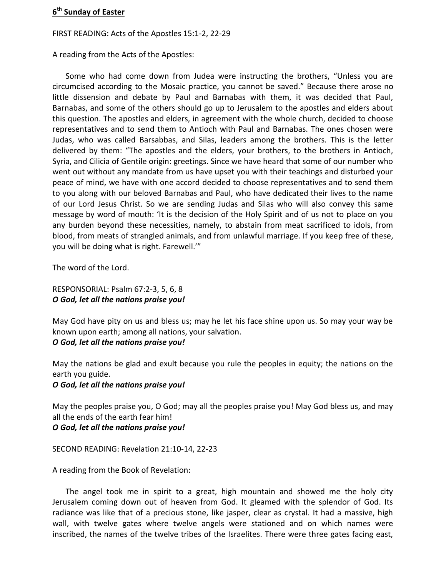## **6 th Sunday of Easter**

## FIRST READING: Acts of the Apostles 15:1-2, 22-29

A reading from the Acts of the Apostles:

Some who had come down from Judea were instructing the brothers, "Unless you are circumcised according to the Mosaic practice, you cannot be saved." Because there arose no little dissension and debate by Paul and Barnabas with them, it was decided that Paul, Barnabas, and some of the others should go up to Jerusalem to the apostles and elders about this question. The apostles and elders, in agreement with the whole church, decided to choose representatives and to send them to Antioch with Paul and Barnabas. The ones chosen were Judas, who was called Barsabbas, and Silas, leaders among the brothers. This is the letter delivered by them: "The apostles and the elders, your brothers, to the brothers in Antioch, Syria, and Cilicia of Gentile origin: greetings. Since we have heard that some of our number who went out without any mandate from us have upset you with their teachings and disturbed your peace of mind, we have with one accord decided to choose representatives and to send them to you along with our beloved Barnabas and Paul, who have dedicated their lives to the name of our Lord Jesus Christ. So we are sending Judas and Silas who will also convey this same message by word of mouth: 'It is the decision of the Holy Spirit and of us not to place on you any burden beyond these necessities, namely, to abstain from meat sacrificed to idols, from blood, from meats of strangled animals, and from unlawful marriage. If you keep free of these, you will be doing what is right. Farewell.'"

The word of the Lord.

## RESPONSORIAL: Psalm 67:2-3, 5, 6, 8 *O God, let all the nations praise you!*

May God have pity on us and bless us; may he let his face shine upon us. So may your way be known upon earth; among all nations, your salvation. *O God, let all the nations praise you!*

May the nations be glad and exult because you rule the peoples in equity; the nations on the earth you guide.

*O God, let all the nations praise you!*

May the peoples praise you, O God; may all the peoples praise you! May God bless us, and may all the ends of the earth fear him!

*O God, let all the nations praise you!*

SECOND READING: Revelation 21:10-14, 22-23

A reading from the Book of Revelation:

The angel took me in spirit to a great, high mountain and showed me the holy city Jerusalem coming down out of heaven from God. It gleamed with the splendor of God. Its radiance was like that of a precious stone, like jasper, clear as crystal. It had a massive, high wall, with twelve gates where twelve angels were stationed and on which names were inscribed, the names of the twelve tribes of the Israelites. There were three gates facing east,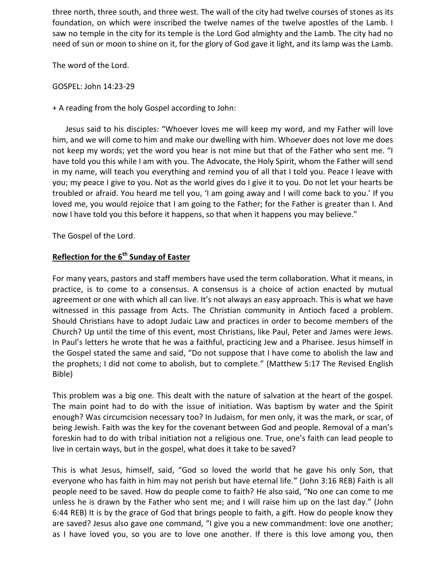three north, three south, and three west. The wall of the city had twelve courses of stones as its foundation, on which were inscribed the twelve names of the twelve apostles of the Lamb. I saw no temple in the city for its temple is the Lord God almighty and the Lamb. The city had no need of sun or moon to shine on it, for the glory of God gave it light, and its lamp was the Lamb.

The word of the Lord.

GOSPEL: John 14:23-29

+ A reading from the holy Gospel according to John:

Jesus said to his disciples: "Whoever loves me will keep my word, and my Father will love him, and we will come to him and make our dwelling with him. Whoever does not love me does not keep my words; yet the word you hear is not mine but that of the Father who sent me. "I have told you this while I am with you. The Advocate, the Holy Spirit, whom the Father will send in my name, will teach you everything and remind you of all that I told you. Peace I leave with you; my peace I give to you. Not as the world gives do I give it to you. Do not let your hearts be troubled or afraid. You heard me tell you, 'I am going away and I will come back to you.' If you loved me, you would rejoice that I am going to the Father; for the Father is greater than I. And now I have told you this before it happens, so that when it happens you may believe."

The Gospel of the Lord.

## **Reflection for the 6th Sunday of Easter**

For many years, pastors and staff members have used the term collaboration. What it means, in practice, is to come to a consensus. A consensus is a choice of action enacted by mutual agreement or one with which all can live. It's not always an easy approach. This is what we have witnessed in this passage from Acts. The Christian community in Antioch faced a problem. Should Christians have to adopt Judaic Law and practices in order to become members of the Church? Up until the time of this event, most Christians, like Paul, Peter and James were Jews. In Paul's letters he wrote that he was a faithful, practicing Jew and a Pharisee. Jesus himself in the Gospel stated the same and said, "Do not suppose that I have come to abolish the law and the prophets; I did not come to abolish, but to complete." (Matthew 5:17 The Revised English Bible)

This problem was a big one. This dealt with the nature of salvation at the heart of the gospel. The main point had to do with the issue of initiation. Was baptism by water and the Spirit enough? Was circumcision necessary too? In Judaism, for men only, it was the mark, or scar, of being Jewish. Faith was the key for the covenant between God and people. Removal of a man's foreskin had to do with tribal initiation not a religious one. True, one's faith can lead people to live in certain ways, but in the gospel, what does it take to be saved?

This is what Jesus, himself, said, "God so loved the world that he gave his only Son, that everyone who has faith in him may not perish but have eternal life." (John 3:16 REB) Faith is all people need to be saved. How do people come to faith? He also said, "No one can come to me unless he is drawn by the Father who sent me; and I will raise him up on the last day." (John 6:44 REB) It is by the grace of God that brings people to faith, a gift. How do people know they are saved? Jesus also gave one command, "I give you a new commandment: love one another; as I have loved you, so you are to love one another. If there is this love among you, then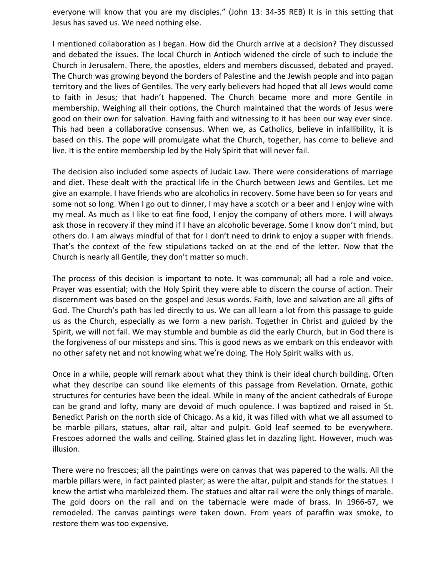everyone will know that you are my disciples." (John 13: 34-35 REB) It is in this setting that Jesus has saved us. We need nothing else.

I mentioned collaboration as I began. How did the Church arrive at a decision? They discussed and debated the issues. The local Church in Antioch widened the circle of such to include the Church in Jerusalem. There, the apostles, elders and members discussed, debated and prayed. The Church was growing beyond the borders of Palestine and the Jewish people and into pagan territory and the lives of Gentiles. The very early believers had hoped that all Jews would come to faith in Jesus; that hadn't happened. The Church became more and more Gentile in membership. Weighing all their options, the Church maintained that the words of Jesus were good on their own for salvation. Having faith and witnessing to it has been our way ever since. This had been a collaborative consensus. When we, as Catholics, believe in infallibility, it is based on this. The pope will promulgate what the Church, together, has come to believe and live. It is the entire membership led by the Holy Spirit that will never fail.

The decision also included some aspects of Judaic Law. There were considerations of marriage and diet. These dealt with the practical life in the Church between Jews and Gentiles. Let me give an example. I have friends who are alcoholics in recovery. Some have been so for years and some not so long. When I go out to dinner, I may have a scotch or a beer and I enjoy wine with my meal. As much as I like to eat fine food, I enjoy the company of others more. I will always ask those in recovery if they mind if I have an alcoholic beverage. Some I know don't mind, but others do. I am always mindful of that for I don't need to drink to enjoy a supper with friends. That's the context of the few stipulations tacked on at the end of the letter. Now that the Church is nearly all Gentile, they don't matter so much.

The process of this decision is important to note. It was communal; all had a role and voice. Prayer was essential; with the Holy Spirit they were able to discern the course of action. Their discernment was based on the gospel and Jesus words. Faith, love and salvation are all gifts of God. The Church's path has led directly to us. We can all learn a lot from this passage to guide us as the Church, especially as we form a new parish. Together in Christ and guided by the Spirit, we will not fail. We may stumble and bumble as did the early Church, but in God there is the forgiveness of our missteps and sins. This is good news as we embark on this endeavor with no other safety net and not knowing what we're doing. The Holy Spirit walks with us.

Once in a while, people will remark about what they think is their ideal church building. Often what they describe can sound like elements of this passage from Revelation. Ornate, gothic structures for centuries have been the ideal. While in many of the ancient cathedrals of Europe can be grand and lofty, many are devoid of much opulence. I was baptized and raised in St. Benedict Parish on the north side of Chicago. As a kid, it was filled with what we all assumed to be marble pillars, statues, altar rail, altar and pulpit. Gold leaf seemed to be everywhere. Frescoes adorned the walls and ceiling. Stained glass let in dazzling light. However, much was illusion.

There were no frescoes; all the paintings were on canvas that was papered to the walls. All the marble pillars were, in fact painted plaster; as were the altar, pulpit and stands for the statues. I knew the artist who marbleized them. The statues and altar rail were the only things of marble. The gold doors on the rail and on the tabernacle were made of brass. In 1966-67, we remodeled. The canvas paintings were taken down. From years of paraffin wax smoke, to restore them was too expensive.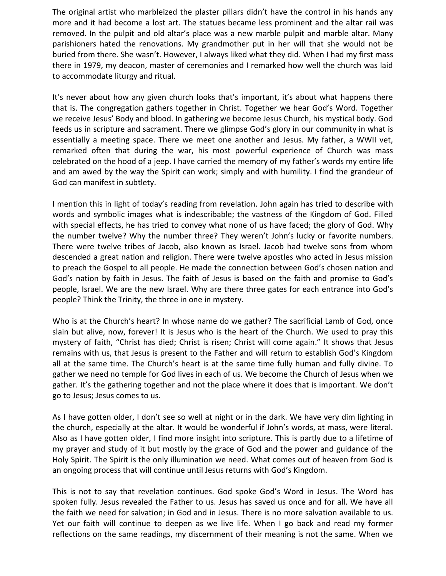The original artist who marbleized the plaster pillars didn't have the control in his hands any more and it had become a lost art. The statues became less prominent and the altar rail was removed. In the pulpit and old altar's place was a new marble pulpit and marble altar. Many parishioners hated the renovations. My grandmother put in her will that she would not be buried from there. She wasn't. However, I always liked what they did. When I had my first mass there in 1979, my deacon, master of ceremonies and I remarked how well the church was laid to accommodate liturgy and ritual.

It's never about how any given church looks that's important, it's about what happens there that is. The congregation gathers together in Christ. Together we hear God's Word. Together we receive Jesus' Body and blood. In gathering we become Jesus Church, his mystical body. God feeds us in scripture and sacrament. There we glimpse God's glory in our community in what is essentially a meeting space. There we meet one another and Jesus. My father, a WWII vet, remarked often that during the war, his most powerful experience of Church was mass celebrated on the hood of a jeep. I have carried the memory of my father's words my entire life and am awed by the way the Spirit can work; simply and with humility. I find the grandeur of God can manifest in subtlety.

I mention this in light of today's reading from revelation. John again has tried to describe with words and symbolic images what is indescribable; the vastness of the Kingdom of God. Filled with special effects, he has tried to convey what none of us have faced; the glory of God. Why the number twelve? Why the number three? They weren't John's lucky or favorite numbers. There were twelve tribes of Jacob, also known as Israel. Jacob had twelve sons from whom descended a great nation and religion. There were twelve apostles who acted in Jesus mission to preach the Gospel to all people. He made the connection between God's chosen nation and God's nation by faith in Jesus. The faith of Jesus is based on the faith and promise to God's people, Israel. We are the new Israel. Why are there three gates for each entrance into God's people? Think the Trinity, the three in one in mystery.

Who is at the Church's heart? In whose name do we gather? The sacrificial Lamb of God, once slain but alive, now, forever! It is Jesus who is the heart of the Church. We used to pray this mystery of faith, "Christ has died; Christ is risen; Christ will come again." It shows that Jesus remains with us, that Jesus is present to the Father and will return to establish God's Kingdom all at the same time. The Church's heart is at the same time fully human and fully divine. To gather we need no temple for God lives in each of us. We become the Church of Jesus when we gather. It's the gathering together and not the place where it does that is important. We don't go to Jesus; Jesus comes to us.

As I have gotten older, I don't see so well at night or in the dark. We have very dim lighting in the church, especially at the altar. It would be wonderful if John's words, at mass, were literal. Also as I have gotten older, I find more insight into scripture. This is partly due to a lifetime of my prayer and study of it but mostly by the grace of God and the power and guidance of the Holy Spirit. The Spirit is the only illumination we need. What comes out of heaven from God is an ongoing process that will continue until Jesus returns with God's Kingdom.

This is not to say that revelation continues. God spoke God's Word in Jesus. The Word has spoken fully. Jesus revealed the Father to us. Jesus has saved us once and for all. We have all the faith we need for salvation; in God and in Jesus. There is no more salvation available to us. Yet our faith will continue to deepen as we live life. When I go back and read my former reflections on the same readings, my discernment of their meaning is not the same. When we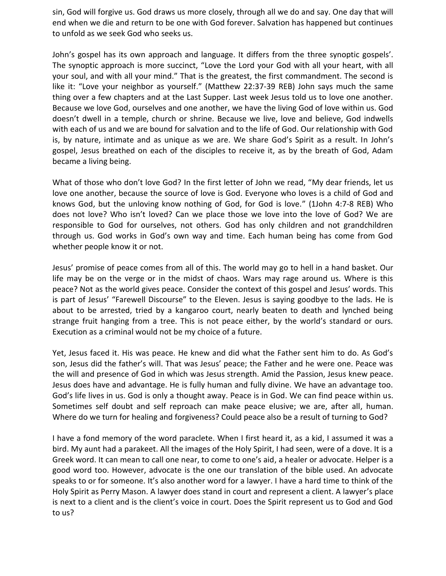sin, God will forgive us. God draws us more closely, through all we do and say. One day that will end when we die and return to be one with God forever. Salvation has happened but continues to unfold as we seek God who seeks us.

John's gospel has its own approach and language. It differs from the three synoptic gospels'. The synoptic approach is more succinct, "Love the Lord your God with all your heart, with all your soul, and with all your mind." That is the greatest, the first commandment. The second is like it: "Love your neighbor as yourself." (Matthew 22:37-39 REB) John says much the same thing over a few chapters and at the Last Supper. Last week Jesus told us to love one another. Because we love God, ourselves and one another, we have the living God of love within us. God doesn't dwell in a temple, church or shrine. Because we live, love and believe, God indwells with each of us and we are bound for salvation and to the life of God. Our relationship with God is, by nature, intimate and as unique as we are. We share God's Spirit as a result. In John's gospel, Jesus breathed on each of the disciples to receive it, as by the breath of God, Adam became a living being.

What of those who don't love God? In the first letter of John we read, "My dear friends, let us love one another, because the source of love is God. Everyone who loves is a child of God and knows God, but the unloving know nothing of God, for God is love." (1John 4:7-8 REB) Who does not love? Who isn't loved? Can we place those we love into the love of God? We are responsible to God for ourselves, not others. God has only children and not grandchildren through us. God works in God's own way and time. Each human being has come from God whether people know it or not.

Jesus' promise of peace comes from all of this. The world may go to hell in a hand basket. Our life may be on the verge or in the midst of chaos. Wars may rage around us. Where is this peace? Not as the world gives peace. Consider the context of this gospel and Jesus' words. This is part of Jesus' "Farewell Discourse" to the Eleven. Jesus is saying goodbye to the lads. He is about to be arrested, tried by a kangaroo court, nearly beaten to death and lynched being strange fruit hanging from a tree. This is not peace either, by the world's standard or ours. Execution as a criminal would not be my choice of a future.

Yet, Jesus faced it. His was peace. He knew and did what the Father sent him to do. As God's son, Jesus did the father's will. That was Jesus' peace; the Father and he were one. Peace was the will and presence of God in which was Jesus strength. Amid the Passion, Jesus knew peace. Jesus does have and advantage. He is fully human and fully divine. We have an advantage too. God's life lives in us. God is only a thought away. Peace is in God. We can find peace within us. Sometimes self doubt and self reproach can make peace elusive; we are, after all, human. Where do we turn for healing and forgiveness? Could peace also be a result of turning to God?

I have a fond memory of the word paraclete. When I first heard it, as a kid, I assumed it was a bird. My aunt had a parakeet. All the images of the Holy Spirit, I had seen, were of a dove. It is a Greek word. It can mean to call one near, to come to one's aid, a healer or advocate. Helper is a good word too. However, advocate is the one our translation of the bible used. An advocate speaks to or for someone. It's also another word for a lawyer. I have a hard time to think of the Holy Spirit as Perry Mason. A lawyer does stand in court and represent a client. A lawyer's place is next to a client and is the client's voice in court. Does the Spirit represent us to God and God to us?